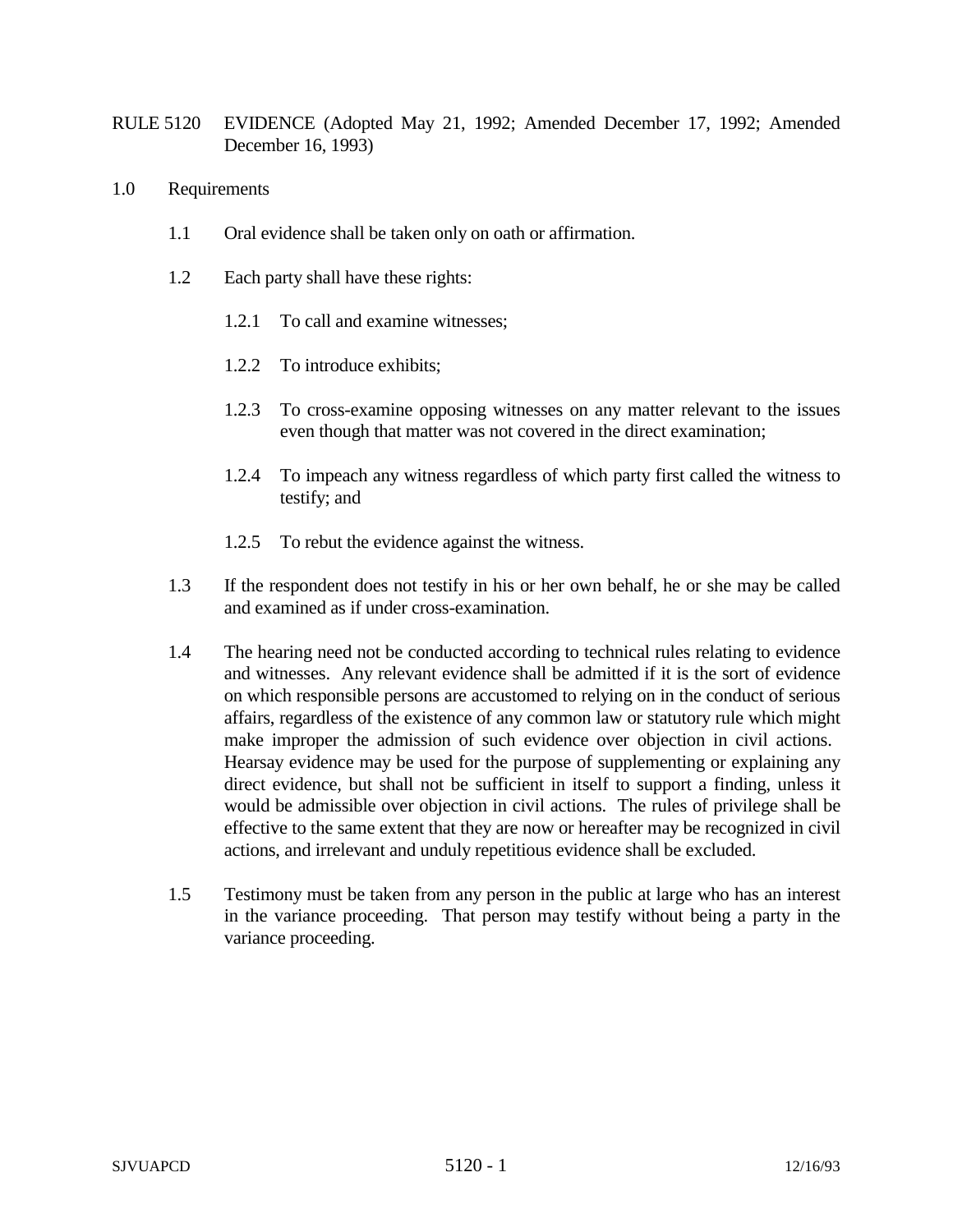- RULE 5120 EVIDENCE (Adopted May 21, 1992; Amended December 17, 1992; Amended December 16, 1993)
- 1.0 Requirements
	- 1.1 Oral evidence shall be taken only on oath or affirmation.
	- 1.2 Each party shall have these rights:
		- 1.2.1 To call and examine witnesses;
		- 1.2.2 To introduce exhibits;
		- 1.2.3 To cross-examine opposing witnesses on any matter relevant to the issues even though that matter was not covered in the direct examination;
		- 1.2.4 To impeach any witness regardless of which party first called the witness to testify; and
		- 1.2.5 To rebut the evidence against the witness.
	- 1.3 If the respondent does not testify in his or her own behalf, he or she may be called and examined as if under cross-examination.
	- 1.4 The hearing need not be conducted according to technical rules relating to evidence and witnesses. Any relevant evidence shall be admitted if it is the sort of evidence on which responsible persons are accustomed to relying on in the conduct of serious affairs, regardless of the existence of any common law or statutory rule which might make improper the admission of such evidence over objection in civil actions. Hearsay evidence may be used for the purpose of supplementing or explaining any direct evidence, but shall not be sufficient in itself to support a finding, unless it would be admissible over objection in civil actions. The rules of privilege shall be effective to the same extent that they are now or hereafter may be recognized in civil actions, and irrelevant and unduly repetitious evidence shall be excluded.
	- 1.5 Testimony must be taken from any person in the public at large who has an interest in the variance proceeding. That person may testify without being a party in the variance proceeding.